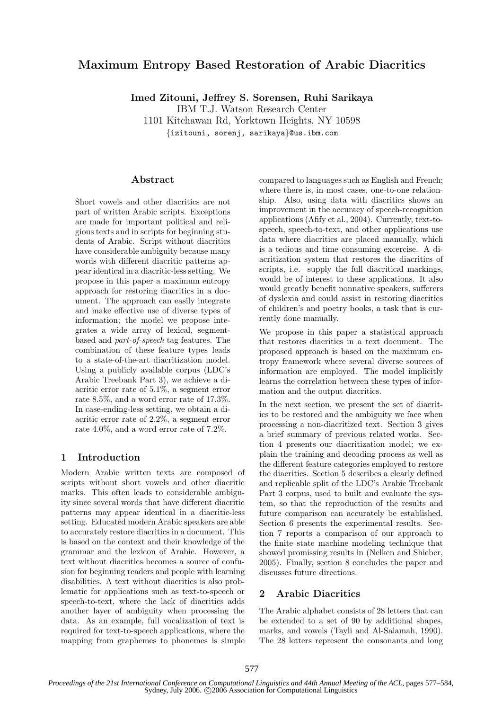# Maximum Entropy Based Restoration of Arabic Diacritics

Imed Zitouni, Jeffrey S. Sorensen, Ruhi Sarikaya

IBM T.J. Watson Research Center

1101 Kitchawan Rd, Yorktown Heights, NY 10598

{izitouni, sorenj, sarikaya}@us.ibm.com

### Abstract

Short vowels and other diacritics are not part of written Arabic scripts. Exceptions are made for important political and religious texts and in scripts for beginning students of Arabic. Script without diacritics have considerable ambiguity because many words with different diacritic patterns appear identical in a diacritic-less setting. We propose in this paper a maximum entropy approach for restoring diacritics in a document. The approach can easily integrate and make effective use of diverse types of information; the model we propose integrates a wide array of lexical, segmentbased and part-of-speech tag features. The combination of these feature types leads to a state-of-the-art diacritization model. Using a publicly available corpus (LDC's Arabic Treebank Part 3), we achieve a diacritic error rate of 5.1%, a segment error rate 8.5%, and a word error rate of 17.3%. In case-ending-less setting, we obtain a diacritic error rate of 2.2%, a segment error rate 4.0%, and a word error rate of 7.2%.

## 1 Introduction

Modern Arabic written texts are composed of scripts without short vowels and other diacritic marks. This often leads to considerable ambiguity since several words that have different diacritic patterns may appear identical in a diacritic-less setting. Educated modern Arabic speakers are able to accurately restore diacritics in a document. This is based on the context and their knowledge of the grammar and the lexicon of Arabic. However, a text without diacritics becomes a source of confusion for beginning readers and people with learning disabilities. A text without diacritics is also problematic for applications such as text-to-speech or speech-to-text, where the lack of diacritics adds another layer of ambiguity when processing the data. As an example, full vocalization of text is required for text-to-speech applications, where the mapping from graphemes to phonemes is simple

compared to languages such as English and French; where there is, in most cases, one-to-one relationship. Also, using data with diacritics shows an improvement in the accuracy of speech-recognition applications (Afify et al., 2004). Currently, text-tospeech, speech-to-text, and other applications use data where diacritics are placed manually, which is a tedious and time consuming excercise. A diacritization system that restores the diacritics of scripts, i.e. supply the full diacritical markings, would be of interest to these applications. It also would greatly benefit nonnative speakers, sufferers of dyslexia and could assist in restoring diacritics of children's and poetry books, a task that is currently done manually.

We propose in this paper a statistical approach that restores diacritics in a text document. The proposed approach is based on the maximum entropy framework where several diverse sources of information are employed. The model implicitly learns the correlation between these types of information and the output diacritics.

In the next section, we present the set of diacritics to be restored and the ambiguity we face when processing a non-diacritized text. Section 3 gives a brief summary of previous related works. Section 4 presents our diacritization model; we explain the training and decoding process as well as the different feature categories employed to restore the diacritics. Section 5 describes a clearly defined and replicable split of the LDC's Arabic Treebank Part 3 corpus, used to built and evaluate the system, so that the reproduction of the results and future comparison can accurately be established. Section 6 presents the experimental results. Section 7 reports a comparison of our approach to the finite state machine modeling technique that showed promissing results in (Nelken and Shieber, 2005). Finally, section 8 concludes the paper and discusses future directions.

### 2 Arabic Diacritics

The Arabic alphabet consists of 28 letters that can be extended to a set of 90 by additional shapes, marks, and vowels (Tayli and Al-Salamah, 1990). The 28 letters represent the consonants and long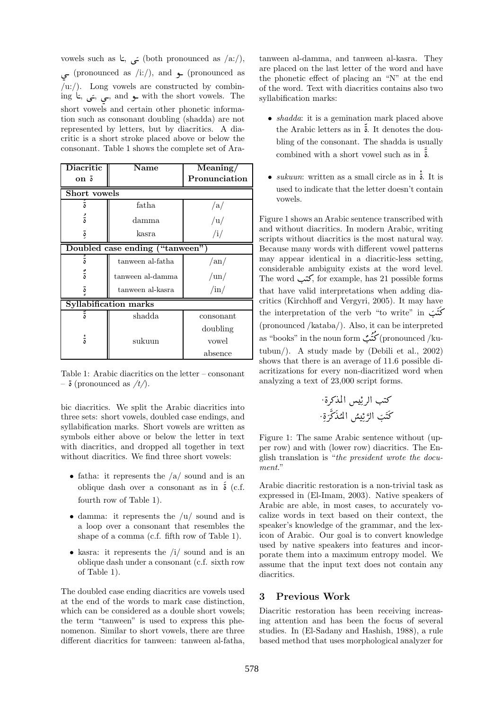vowels such as  $\zeta$ , خی $($  both pronounced as  $/a$ :/),  $\overline{\phantom{a}}$  $\overline{a}$  $\frac{1}{2}$  (pronounced as /i:/), and  $\frac{1}{2}$  (pronounced as  $(u:')$ . Long vowels are constructed by combining  $L$ ,  $\frac{1}{L}$ ,  $\frac{1}{L}$ , and  $\frac{1}{L}$  with the short vowels. The short vermes and contain other pharatic information  $\overline{\phantom{a}}$  $\overline{\phantom{a}}$  short vowels and certain other phonetic information such as consonant doubling (shadda) are not represented by letters, but by diacritics. A diacritic is a short stroke placed above or below the consonant. Table 1 shows the complete set of Ara-

| Diacritic<br>ة on               | <b>Name</b>      | Meaning/<br>Pronunciation |  |  |  |
|---------------------------------|------------------|---------------------------|--|--|--|
| <b>Short</b> vowels             |                  |                           |  |  |  |
| ة                               | fatha.           | /a/                       |  |  |  |
| ة                               | damma            | /u/                       |  |  |  |
| ة                               | kasra            | /i/                       |  |  |  |
| Doubled case ending ("tanween") |                  |                           |  |  |  |
| ة                               | tanween al-fatha | $\rm{an}/$                |  |  |  |
| ة                               | tanween al-damma | $\mu$                     |  |  |  |
| ة                               | tanween al-kasra | $\sin/$                   |  |  |  |
| <b>Syllabification marks</b>    |                  |                           |  |  |  |
| ة                               | shadda           | consonant                 |  |  |  |
|                                 |                  | doubling                  |  |  |  |
| ة                               | sukuun           | vowel                     |  |  |  |
|                                 |                  | absence                   |  |  |  |

Table 1: Arabic diacritics on the letter – consonant Table 1. Arabic diacritic<br>  $\frac{1}{\mathbf{v}}$  (pronounced as  $/t$ ).

bic diacritics. We split the Arabic diacritics into three sets: short vowels, doubled case endings, and syllabification marks. Short vowels are written as symbols either above or below the letter in text with diacritics, and dropped all together in text without diacritics. We find three short vowels:

- fatha: it represents the  $/a$  sound and is an oblique dash over a consonant as in è (c.f.  $\ddot{\mathbf{r}}$ ã fourth row of Table 1).
- damma: it represents the  $\langle u \rangle$  sound and is a loop over a consonant that resembles the shape of a comma (c.f. fifth row of Table 1).
- kasra: it represents the  $\langle i \rangle$  sound and is an oblique dash under a consonant (c.f. sixth row of Table 1).

The doubled case ending diacritics are vowels used at the end of the words to mark case distinction, which can be considered as a double short vowels; the term "tanween" is used to express this phenomenon. Similar to short vowels, there are three different diacritics for tanween: tanween al-fatha,

tanween al-damma, and tanween al-kasra. They are placed on the last letter of the word and have the phonetic effect of placing an "N" at the end of the word. Text with diacritics contains also two syllabification marks:

- *shadda*: it is a gemination mark placed above the Arabic letters as in è. It denotes the dou-ว<br>:: ä bling of the consonant. The shadda is usually combined with a short vowel such as in è. ;<br>:  $\frac{1}{2}$ ة:<br>2
- sukuun: written as a small circle as in è. It is  $\ddot{\cdot}$  $\frac{1}{c}$ used to indicate that the letter doesn't contain vowels.

Figure 1 shows an Arabic sentence transcribed with and without diacritics. In modern Arabic, writing scripts without diacritics is the most natural way. Because many words with different vowel patterns may appear identical in a diacritic-less setting, considerable ambiguity exists at the word level. The word  $\frac{1}{2}$ , for example, has 21 possible forms  $\ddot{ }$ that have valid interpretations when adding diacritics (Kirchhoff and Vergyri, 2005). It may have the interpretation of the verb "to write" in كَتَبَ .  $\frac{1}{2}$  $\frac{1}{2}$ (pronounced /kataba/). Also, it can be interpreted as "books" in the noun form کنگ (pronounced /ku-.  $\ddot{\cdot}$  $\ddot{z}$ J را tubun/). A study made by (Debili et al., 2002) shows that there is an average of 11.6 possible diacritizations for every non-diacritized word when analyzing a text of 23,000 script forms.

. èQ» YÖÏ@ K QË@ I. J» . è Q » Y ÜÏ@  K QË@ I . J »

Figure 1: The same Arabic sentence without (upper row) and with (lower row) diacritics. The English translation is "the president wrote the document."

Arabic diacritic restoration is a non-trivial task as expressed in (El-Imam, 2003). Native speakers of Arabic are able, in most cases, to accurately vocalize words in text based on their context, the speaker's knowledge of the grammar, and the lexicon of Arabic. Our goal is to convert knowledge used by native speakers into features and incorporate them into a maximum entropy model. We assume that the input text does not contain any diacritics.

### 3 Previous Work

Diacritic restoration has been receiving increasing attention and has been the focus of several studies. In (El-Sadany and Hashish, 1988), a rule based method that uses morphological analyzer for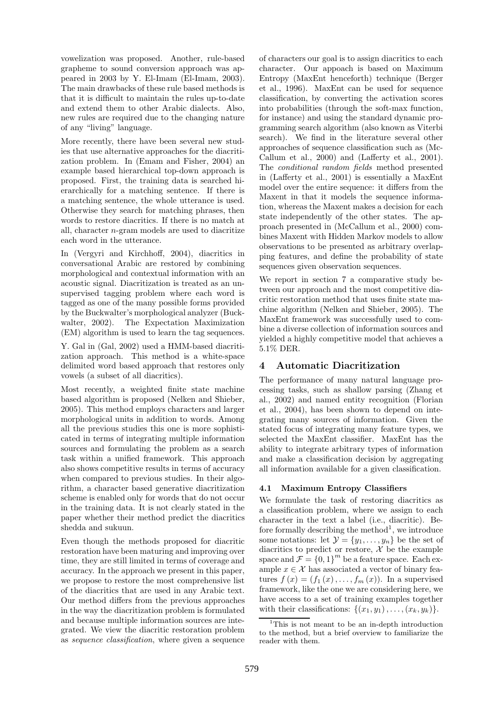vowelization was proposed. Another, rule-based grapheme to sound conversion approach was appeared in 2003 by Y. El-Imam (El-Imam, 2003). The main drawbacks of these rule based methods is that it is difficult to maintain the rules up-to-date and extend them to other Arabic dialects. Also, new rules are required due to the changing nature of any "living" language.

More recently, there have been several new studies that use alternative approaches for the diacritization problem. In (Emam and Fisher, 2004) an example based hierarchical top-down approach is proposed. First, the training data is searched hierarchically for a matching sentence. If there is a matching sentence, the whole utterance is used. Otherwise they search for matching phrases, then words to restore diacritics. If there is no match at all, character n-gram models are used to diacritize each word in the utterance.

In (Vergyri and Kirchhoff, 2004), diacritics in conversational Arabic are restored by combining morphological and contextual information with an acoustic signal. Diacritization is treated as an unsupervised tagging problem where each word is tagged as one of the many possible forms provided by the Buckwalter's morphological analyzer (Buckwalter, 2002). The Expectation Maximization (EM) algorithm is used to learn the tag sequences.

Y. Gal in (Gal, 2002) used a HMM-based diacritization approach. This method is a white-space delimited word based approach that restores only vowels (a subset of all diacritics).

Most recently, a weighted finite state machine based algorithm is proposed (Nelken and Shieber, 2005). This method employs characters and larger morphological units in addition to words. Among all the previous studies this one is more sophisticated in terms of integrating multiple information sources and formulating the problem as a search task within a unified framework. This approach also shows competitive results in terms of accuracy when compared to previous studies. In their algorithm, a character based generative diacritization scheme is enabled only for words that do not occur in the training data. It is not clearly stated in the paper whether their method predict the diacritics shedda and sukuun.

Even though the methods proposed for diacritic restoration have been maturing and improving over time, they are still limited in terms of coverage and accuracy. In the approach we present in this paper, we propose to restore the most comprehensive list of the diacritics that are used in any Arabic text. Our method differs from the previous approaches in the way the diacritization problem is formulated and because multiple information sources are integrated. We view the diacritic restoration problem as sequence classification, where given a sequence

of characters our goal is to assign diacritics to each character. Our appoach is based on Maximum Entropy (MaxEnt henceforth) technique (Berger et al., 1996). MaxEnt can be used for sequence classification, by converting the activation scores into probabilities (through the soft-max function, for instance) and using the standard dynamic programming search algorithm (also known as Viterbi search). We find in the literature several other approaches of sequence classification such as (Mc-Callum et al., 2000) and (Lafferty et al., 2001). The conditional random fields method presented in (Lafferty et al., 2001) is essentially a MaxEnt model over the entire sequence: it differs from the Maxent in that it models the sequence information, whereas the Maxent makes a decision for each state independently of the other states. The approach presented in (McCallum et al., 2000) combines Maxent with Hidden Markov models to allow observations to be presented as arbitrary overlapping features, and define the probability of state sequences given observation sequences.

We report in section 7 a comparative study between our approach and the most competitive diacritic restoration method that uses finite state machine algorithm (Nelken and Shieber, 2005). The MaxEnt framework was successfully used to combine a diverse collection of information sources and yielded a highly competitive model that achieves a 5.1% DER.

# 4 Automatic Diacritization

The performance of many natural language processing tasks, such as shallow parsing (Zhang et al., 2002) and named entity recognition (Florian et al., 2004), has been shown to depend on integrating many sources of information. Given the stated focus of integrating many feature types, we selected the MaxEnt classifier. MaxEnt has the ability to integrate arbitrary types of information and make a classification decision by aggregating all information available for a given classification.

### 4.1 Maximum Entropy Classifiers

We formulate the task of restoring diacritics as a classification problem, where we assign to each character in the text a label (i.e., diacritic). Before formally describing the method<sup>1</sup>, we introduce some notations: let  $\mathcal{Y} = \{y_1, \ldots, y_n\}$  be the set of diacritics to predict or restore,  $\mathcal X$  be the example space and  $\mathcal{F} = \{0,1\}^m$  be a feature space. Each example  $x \in \mathcal{X}$  has associated a vector of binary features  $f(x) = (f_1(x), \ldots, f_m(x))$ . In a supervised framework, like the one we are considering here, we have access to a set of training examples together with their classifications:  $\{(x_1,y_1),\ldots,(x_k,y_k)\}.$ 

<sup>&</sup>lt;sup>1</sup>This is not meant to be an in-depth introduction to the method, but a brief overview to familiarize the reader with them.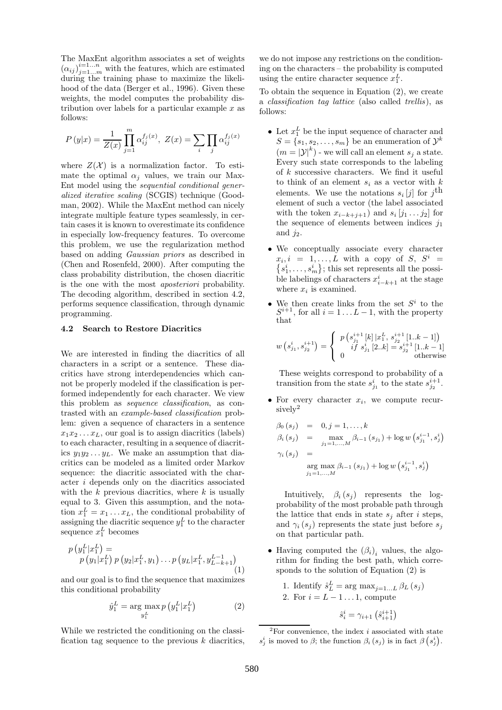The MaxEnt algorithm associates a set of weights  $(\alpha_{ij})_{j=1...m}^{i=1...n}$  with the features, which are estimated during the training phase to maximize the likelihood of the data (Berger et al., 1996). Given these weights, the model computes the probability distribution over labels for a particular example  $x$  as follows:

$$
P(y|x) = \frac{1}{Z(x)} \prod_{j=1}^{m} \alpha_{ij}^{f_j(x)}, \ Z(x) = \sum_{i} \prod_{j} \alpha_{ij}^{f_j(x)}
$$

where  $Z(\mathcal{X})$  is a normalization factor. To estimate the optimal  $\alpha_j$  values, we train our Max-Ent model using the sequential conditional generalized iterative scaling (SCGIS) technique (Goodman, 2002). While the MaxEnt method can nicely integrate multiple feature types seamlessly, in certain cases it is known to overestimate its confidence in especially low-frequency features. To overcome this problem, we use the regularization method based on adding Gaussian priors as described in (Chen and Rosenfeld, 2000). After computing the class probability distribution, the chosen diacritic is the one with the most aposteriori probability. The decoding algorithm, described in section 4.2, performs sequence classification, through dynamic programming.

#### 4.2 Search to Restore Diacritics

We are interested in finding the diacritics of all characters in a script or a sentence. These diacritics have strong interdependencies which cannot be properly modeled if the classification is performed independently for each character. We view this problem as sequence classification, as contrasted with an example-based classification problem: given a sequence of characters in a sentence  $x_1x_2 \ldots x_L$ , our goal is to assign diacritics (labels) to each character, resulting in a sequence of diacritics  $y_1y_2 \ldots y_L$ . We make an assumption that diacritics can be modeled as a limited order Markov sequence: the diacritic associated with the character i depends only on the diacritics associated with the  $k$  previous diacritics, where  $k$  is usually equal to 3. Given this assumption, and the notation  $x_1^L = x_1 \dots x_L$ , the conditional probability of assigning the diacritic sequence  $y_1^L$  to the character sequence  $x_1^L$  becomes

$$
p(y_1^L|x_1^L) = p(y_1|x_1^L) p(y_2|x_1^L, y_1) \dots p(y_L|x_1^L, y_{L-k+1}^{L-1})
$$
\n(1)

and our goal is to find the sequence that maximizes this conditional probability

$$
\hat{y}_1^L = \arg\max_{y_1^L} p\left(y_1^L | x_1^L\right) \tag{2}
$$

While we restricted the conditioning on the classification tag sequence to the previous  $k$  diacritics, we do not impose any restrictions on the conditioning on the characters – the probability is computed using the entire character sequence  $x_1^L$ .

To obtain the sequence in Equation (2), we create a classification tag lattice (also called trellis), as follows:

- Let  $x_1^L$  be the input sequence of character and  $S = \{s_1, s_2, \ldots, s_m\}$  be an enumeration of  $\mathcal{Y}^k$  $(m = |\mathcal{Y}|^k)$  - we will call an element  $s_j$  a state. Every such state corresponds to the labeling of k successive characters. We find it useful to think of an element  $s_i$  as a vector with  $k$ elements. We use the notations  $s_i[j]$  for  $j^{\text{th}}$ element of such a vector (the label associated with the token  $x_{i-k+j+1}$  and  $s_i [j_1 \dots j_2]$  for the sequence of elements between indices  $j_1$ and  $j_2$ .
- We conceptually associate every character  $x_i, i = 1, \ldots, L$  with a copy of  $S, S^i =$  $\{s_1^i, \ldots, s_m^i\}$ ; this set represents all the possible labelings of characters  $x_{i-k+1}^i$  at the stage where  $x_i$  is examined.
- We then create links from the set  $S<sup>i</sup>$  to the  $S^{i+1}$ , for all  $i = 1 \dots L - 1$ , with the property that

$$
w\left(s_{j_1}^i, s_{j_2}^{i+1}\right) = \begin{cases} p\left(s_{j_1}^{i+1}\left[k\right] | x_1^L, s_{j_2}^{i+1}\left[1..k-1\right]\right) \\ if \ s_{j_1}^i\left[2..k\right] = s_{j_2}^{i+1}\left[1..k-1\right] \\ 0 \end{cases}
$$
 otherwise

These weights correspond to probability of a transition from the state  $s_{j_1}^i$  to the state  $s_{j_2}^{i+1}$ .

• For every character  $x_i$ , we compute recursively<sup>2</sup>

$$
\beta_0 (s_j) = 0, j = 1, ..., k
$$
  
\n
$$
\beta_i (s_j) = \max_{j_1 = 1, ..., M} \beta_{i-1} (s_{j_1}) + \log w (s_{j_1}^{i-1}, s_j^i)
$$
  
\n
$$
\gamma_i (s_j) = \arg \max_{j_1 = 1, ..., M} \beta_{i-1} (s_{j_1}) + \log w (s_{j_1}^{i-1}, s_j^i)
$$

Intuitively,  $\beta_i$  (s<sub>j</sub>) represents the logprobability of the most probable path through the lattice that ends in state  $s_i$  after *i* steps, and  $\gamma_i(s_i)$  represents the state just before  $s_i$ on that particular path.

- Having computed the  $(\beta_i)_i$  values, the algorithm for finding the best path, which corresponds to the solution of Equation (2) is
	- 1. Identify  $\hat{s}_L^L = \arg \max_{j=1...L} \beta_L(s_j)$ 2. For  $i = L - 1 \dots 1$ , compute
		- $\hat{s}_i^i = \gamma_{i+1} (\hat{s}_{i+1}^{i+1})$

 ${}^{2}$ For convenience, the index *i* associated with state  $s_j^i$  is moved to  $\beta$ ; the function  $\beta_i(s_j)$  is in fact  $\beta(s_j)$ .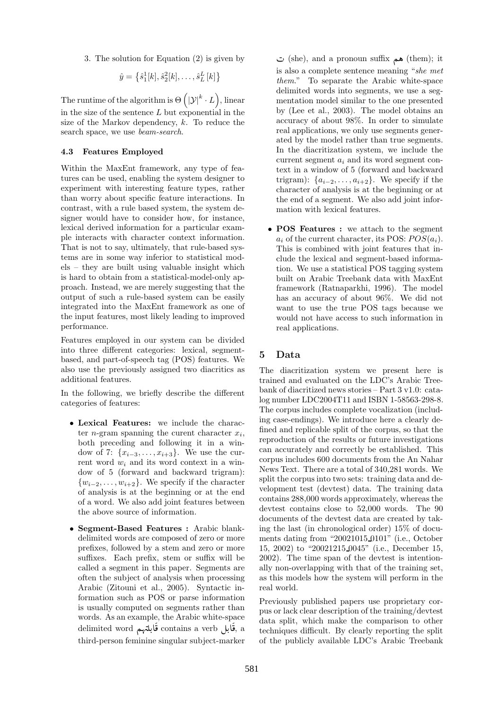3. The solution for Equation (2) is given by

$$
\hat{y} = \left\{ \hat{s}_1^1[k], \hat{s}_2^2[k], \dots, \hat{s}_L^L[k] \right\}
$$

The runtime of the algorithm is  $\Theta\left(|\mathcal{Y}|^{k}\cdot L\right)$ , linear in the size of the sentence  $L$  but exponential in the size of the Markov dependency, k. To reduce the search space, we use beam-search.

#### 4.3 Features Employed

Within the MaxEnt framework, any type of features can be used, enabling the system designer to experiment with interesting feature types, rather than worry about specific feature interactions. In contrast, with a rule based system, the system designer would have to consider how, for instance, lexical derived information for a particular example interacts with character context information. That is not to say, ultimately, that rule-based systems are in some way inferior to statistical models – they are built using valuable insight which is hard to obtain from a statistical-model-only approach. Instead, we are merely suggesting that the output of such a rule-based system can be easily integrated into the MaxEnt framework as one of the input features, most likely leading to improved performance.

Features employed in our system can be divided into three different categories: lexical, segmentbased, and part-of-speech tag (POS) features. We also use the previously assigned two diacritics as additional features.

In the following, we briefly describe the different categories of features:

- Lexical Features: we include the character *n*-gram spanning the curent character  $x_i$ , both preceding and following it in a window of 7:  $\{x_{i-3}, \ldots, x_{i+3}\}$ . We use the current word  $w_i$  and its word context in a window of 5 (forward and backward trigram):  $\{w_{i-2}, \ldots, w_{i+2}\}.$  We specify if the character of analysis is at the beginning or at the end of a word. We also add joint features between the above source of information.
- Segment-Based Features : Arabic blankdelimited words are composed of zero or more prefixes, followed by a stem and zero or more suffixes. Each prefix, stem or suffix will be called a segment in this paper. Segments are often the subject of analysis when processing Arabic (Zitouni et al., 2005). Syntactic information such as POS or parse information is usually computed on segments rather than words. As an example, the Arabic white-space delimited word قَابلتهم delimited word قَابلتهم . A  $\frac{1}{2}$ A i<br>i third-person feminine singular subject-marker

ن (she), and a pronoun suffix هم (them); it is also a complete sentence meaning "she met them." To separate the Arabic white-space delimited words into segments, we use a segmentation model similar to the one presented by (Lee et al., 2003). The model obtains an accuracy of about 98%. In order to simulate real applications, we only use segments generated by the model rather than true segments. In the diacritization system, we include the current segment  $a_i$  and its word segment context in a window of 5 (forward and backward trigram):  $\{a_{i-2}, \ldots, a_{i+2}\}$ . We specify if the character of analysis is at the beginning or at the end of a segment. We also add joint information with lexical features.

• POS Features : we attach to the segment  $a_i$  of the current character, its POS:  $POS(a_i)$ . This is combined with joint features that include the lexical and segment-based information. We use a statistical POS tagging system built on Arabic Treebank data with MaxEnt framework (Ratnaparkhi, 1996). The model has an accuracy of about 96%. We did not want to use the true POS tags because we would not have access to such information in real applications.

## 5 Data

The diacritization system we present here is trained and evaluated on the LDC's Arabic Treebank of diacritized news stories – Part 3 v1.0: catalog number LDC2004T11 and ISBN 1-58563-298-8. The corpus includes complete vocalization (including case-endings). We introduce here a clearly defined and replicable split of the corpus, so that the reproduction of the results or future investigations can accurately and correctly be established. This corpus includes 600 documents from the An Nahar News Text. There are a total of 340,281 words. We split the corpus into two sets: training data and development test (devtest) data. The training data contains 288,000 words approximately, whereas the devtest contains close to 52,000 words. The 90 documents of the devtest data are created by taking the last (in chronological order) 15% of documents dating from "20021015 0101" (i.e., October 15, 2002) to "20021215 0045" (i.e., December 15, 2002). The time span of the devtest is intentionally non-overlapping with that of the training set, as this models how the system will perform in the real world.

Previously published papers use proprietary corpus or lack clear description of the training/devtest data split, which make the comparison to other techniques difficult. By clearly reporting the split of the publicly available LDC's Arabic Treebank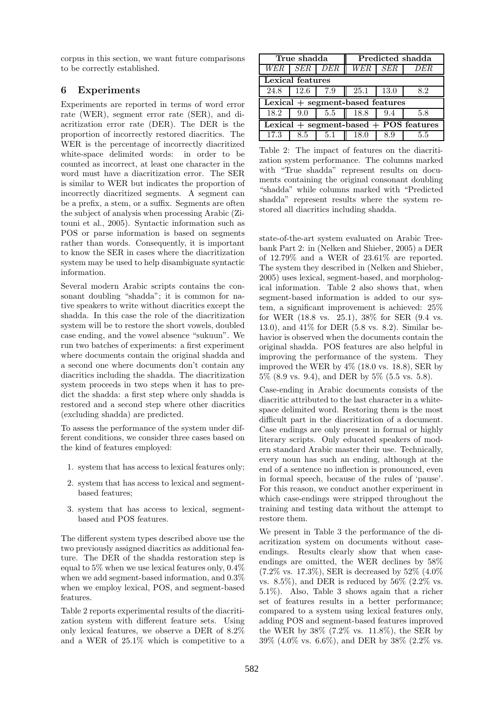corpus in this section, we want future comparisons to be correctly established.

## 6 Experiments

Experiments are reported in terms of word error rate (WER), segment error rate (SER), and diacritization error rate (DER). The DER is the proportion of incorrectly restored diacritics. The WER is the percentage of incorrectly diacritized white-space delimited words: in order to be counted as incorrect, at least one character in the word must have a diacritization error. The SER is similar to WER but indicates the proportion of incorrectly diacritized segments. A segment can be a prefix, a stem, or a suffix. Segments are often the subject of analysis when processing Arabic (Zitouni et al., 2005). Syntactic information such as POS or parse information is based on segments rather than words. Consequently, it is important to know the SER in cases where the diacritization system may be used to help disambiguate syntactic information.

Several modern Arabic scripts contains the consonant doubling "shadda"; it is common for native speakers to write without diacritics except the shadda. In this case the role of the diacritization system will be to restore the short vowels, doubled case ending, and the vowel absence "sukuun". We run two batches of experiments: a first experiment where documents contain the original shadda and a second one where documents don't contain any diacritics including the shadda. The diacritization system proceeds in two steps when it has to predict the shadda: a first step where only shadda is restored and a second step where other diacritics (excluding shadda) are predicted.

To assess the performance of the system under different conditions, we consider three cases based on the kind of features employed:

- 1. system that has access to lexical features only;
- 2. system that has access to lexical and segmentbased features;
- 3. system that has access to lexical, segmentbased and POS features.

The different system types described above use the two previously assigned diacritics as additional feature. The DER of the shadda restoration step is equal to 5% when we use lexical features only, 0.4% when we add segment-based information, and 0.3% when we employ lexical, POS, and segment-based features.

Table 2 reports experimental results of the diacritization system with different feature sets. Using only lexical features, we observe a DER of 8.2% and a WER of 25.1% which is competitive to a

| True shadda                                |                 | Predicted shadda |         |      |      |
|--------------------------------------------|-----------------|------------------|---------|------|------|
|                                            | WER   SER   DER |                  | WER SER |      | DER. |
| Lexical features                           |                 |                  |         |      |      |
| 24.8                                       | 12.6            | 7.9              | 25.1    | 13.0 | 8.2  |
| $Lexical + segment-based features$         |                 |                  |         |      |      |
| 18.2                                       | 9.0             | 5.5              | 18.8    | 9.4  | 5.8  |
| Lexical $+$ segment-based $+$ POS features |                 |                  |         |      |      |
| 17.3                                       | 8.5             | 5.1              | 18.0    | 8.9  | 5.5  |

Table 2: The impact of features on the diacritization system performance. The columns marked with "True shadda" represent results on documents containing the original consonant doubling "shadda" while columns marked with "Predicted shadda" represent results where the system restored all diacritics including shadda.

state-of-the-art system evaluated on Arabic Treebank Part 2: in (Nelken and Shieber, 2005) a DER of 12.79% and a WER of 23.61% are reported. The system they described in (Nelken and Shieber, 2005) uses lexical, segment-based, and morphological information. Table 2 also shows that, when segment-based information is added to our system, a significant improvement is achieved: 25% for WER (18.8 vs. 25.1), 38% for SER (9.4 vs. 13.0), and 41% for DER (5.8 vs. 8.2). Similar behavior is observed when the documents contain the original shadda. POS features are also helpful in improving the performance of the system. They improved the WER by 4% (18.0 vs. 18.8), SER by 5% (8.9 vs. 9.4), and DER by 5% (5.5 vs. 5.8).

Case-ending in Arabic documents consists of the diacritic attributed to the last character in a whitespace delimited word. Restoring them is the most difficult part in the diacritization of a document. Case endings are only present in formal or highly literary scripts. Only educated speakers of modern standard Arabic master their use. Technically, every noun has such an ending, although at the end of a sentence no inflection is pronounced, even in formal speech, because of the rules of 'pause'. For this reason, we conduct another experiment in which case-endings were stripped throughout the training and testing data without the attempt to restore them.

We present in Table 3 the performance of the diacritization system on documents without caseendings. Results clearly show that when caseendings are omitted, the WER declines by 58%  $(7.2\% \text{ vs. } 17.3\%), \text{SER}$  is decreased by  $52\%$   $(4.0\%$ vs.  $8.5\%$ ), and DER is reduced by  $56\%$  (2.2% vs. 5.1%). Also, Table 3 shows again that a richer set of features results in a better performance; compared to a system using lexical features only, adding POS and segment-based features improved the WER by 38% (7.2% vs. 11.8%), the SER by 39% (4.0% vs. 6.6%), and DER by 38% (2.2% vs.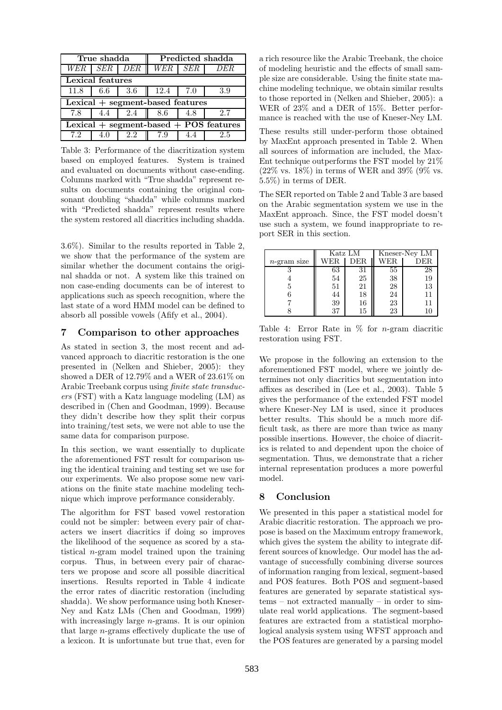| True shadda                                |             | Predicted shadda |         |     |      |
|--------------------------------------------|-------------|------------------|---------|-----|------|
|                                            | WER SER DER |                  | WER SER |     | DER. |
| Lexical features                           |             |                  |         |     |      |
| 11.8                                       | 6.6         | 3.6              | 12.4    | 7.0 | 3.9  |
| $\vert$ Lexical + segment-based features   |             |                  |         |     |      |
| 7.8                                        |             | 2.4              | 8.6     | 4.8 |      |
| Lexical $+$ segment-based $+$ POS features |             |                  |         |     |      |
|                                            |             |                  |         |     |      |

Table 3: Performance of the diacritization system based on employed features. System is trained and evaluated on documents without case-ending. Columns marked with "True shadda" represent results on documents containing the original consonant doubling "shadda" while columns marked with "Predicted shadda" represent results where the system restored all diacritics including shadda.

3.6%). Similar to the results reported in Table 2, we show that the performance of the system are similar whether the document contains the original shadda or not. A system like this trained on non case-ending documents can be of interest to applications such as speech recognition, where the last state of a word HMM model can be defined to absorb all possible vowels (Afify et al., 2004).

#### 7 Comparison to other approaches

As stated in section 3, the most recent and advanced approach to diacritic restoration is the one presented in (Nelken and Shieber, 2005): they showed a DER of 12.79% and a WER of 23.61% on Arabic Treebank corpus using finite state transducers (FST) with a Katz language modeling (LM) as described in (Chen and Goodman, 1999). Because they didn't describe how they split their corpus into training/test sets, we were not able to use the same data for comparison purpose.

In this section, we want essentially to duplicate the aforementioned FST result for comparison using the identical training and testing set we use for our experiments. We also propose some new variations on the finite state machine modeling technique which improve performance considerably.

The algorithm for FST based vowel restoration could not be simpler: between every pair of characters we insert diacritics if doing so improves the likelihood of the sequence as scored by a statistical n-gram model trained upon the training corpus. Thus, in between every pair of characters we propose and score all possible diacritical insertions. Results reported in Table 4 indicate the error rates of diacritic restoration (including shadda). We show performance using both Kneser-Ney and Katz LMs (Chen and Goodman, 1999) with increasingly large *n*-grams. It is our opinion that large n-grams effectively duplicate the use of a lexicon. It is unfortunate but true that, even for

a rich resource like the Arabic Treebank, the choice of modeling heuristic and the effects of small sample size are considerable. Using the finite state machine modeling technique, we obtain similar results to those reported in (Nelken and Shieber, 2005): a WER of 23% and a DER of 15%. Better performance is reached with the use of Kneser-Ney LM.

These results still under-perform those obtained by MaxEnt approach presented in Table 2. When all sources of information are included, the Max-Ent technique outperforms the FST model by 21%  $(22\% \text{ vs. } 18\%)$  in terms of WER and 39% (9% vs. 5.5%) in terms of DER.

The SER reported on Table 2 and Table 3 are based on the Arabic segmentation system we use in the MaxEnt approach. Since, the FST model doesn't use such a system, we found inappropriate to report SER in this section.

|                | Katz LM |     | Kneser-Ney LM |     |
|----------------|---------|-----|---------------|-----|
| $n$ -gram size | WER     | DER | WER.          | DER |
|                | 63      | 31  | 55            | 28  |
|                | 54      | 25  | 38            | 19  |
| 5              | 51      | 21  | 28            | 13  |
|                | 44      | 18  | 24            |     |
|                | 39      | 16  | 23            | 11  |
|                | 37      | 15  | 23            |     |

Table 4: Error Rate in  $\%$  for *n*-gram diacritic restoration using FST.

We propose in the following an extension to the aforementioned FST model, where we jointly determines not only diacritics but segmentation into affixes as described in (Lee et al., 2003). Table 5 gives the performance of the extended FST model where Kneser-Ney LM is used, since it produces better results. This should be a much more difficult task, as there are more than twice as many possible insertions. However, the choice of diacritics is related to and dependent upon the choice of segmentation. Thus, we demonstrate that a richer internal representation produces a more powerful model.

### 8 Conclusion

We presented in this paper a statistical model for Arabic diacritic restoration. The approach we propose is based on the Maximum entropy framework, which gives the system the ability to integrate different sources of knowledge. Our model has the advantage of successfully combining diverse sources of information ranging from lexical, segment-based and POS features. Both POS and segment-based features are generated by separate statistical systems – not extracted manually – in order to simulate real world applications. The segment-based features are extracted from a statistical morphological analysis system using WFST approach and the POS features are generated by a parsing model